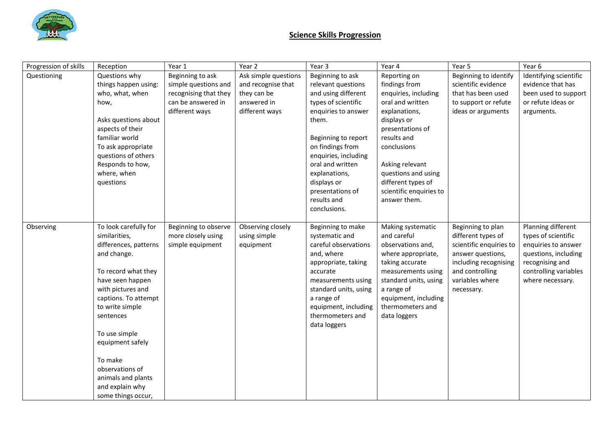

## **Science Skills Progression**

| Progression of skills | Reception                                                                                                                                                                                                                                                                                                                                | Year 1                                                                                                    | Year 2                                                                                     | Year 3                                                                                                                                                                                                                                                                                         | Year 4                                                                                                                                                                                                                                                                 | Year 5                                                                                                                                                               | Year 6                                                                                                                                                   |
|-----------------------|------------------------------------------------------------------------------------------------------------------------------------------------------------------------------------------------------------------------------------------------------------------------------------------------------------------------------------------|-----------------------------------------------------------------------------------------------------------|--------------------------------------------------------------------------------------------|------------------------------------------------------------------------------------------------------------------------------------------------------------------------------------------------------------------------------------------------------------------------------------------------|------------------------------------------------------------------------------------------------------------------------------------------------------------------------------------------------------------------------------------------------------------------------|----------------------------------------------------------------------------------------------------------------------------------------------------------------------|----------------------------------------------------------------------------------------------------------------------------------------------------------|
| Questioning           | Questions why<br>things happen using:<br>who, what, when<br>how,<br>Asks questions about<br>aspects of their<br>familiar world<br>To ask appropriate<br>questions of others<br>Responds to how,<br>where, when<br>questions                                                                                                              | Beginning to ask<br>simple questions and<br>recognising that they<br>can be answered in<br>different ways | Ask simple questions<br>and recognise that<br>they can be<br>answered in<br>different ways | Beginning to ask<br>relevant questions<br>and using different<br>types of scientific<br>enquiries to answer<br>them.<br>Beginning to report<br>on findings from<br>enquiries, including<br>oral and written<br>explanations,<br>displays or<br>presentations of<br>results and<br>conclusions. | Reporting on<br>findings from<br>enquiries, including<br>oral and written<br>explanations,<br>displays or<br>presentations of<br>results and<br>conclusions<br>Asking relevant<br>questions and using<br>different types of<br>scientific enquiries to<br>answer them. | Beginning to identify<br>scientific evidence<br>that has been used<br>to support or refute<br>ideas or arguments                                                     | Identifying scientific<br>evidence that has<br>been used to support<br>or refute ideas or<br>arguments.                                                  |
| Observing             | To look carefully for<br>similarities,<br>differences, patterns<br>and change.<br>To record what they<br>have seen happen<br>with pictures and<br>captions. To attempt<br>to write simple<br>sentences<br>To use simple<br>equipment safely<br>To make<br>observations of<br>animals and plants<br>and explain why<br>some things occur, | Beginning to observe<br>more closely using<br>simple equipment                                            | Observing closely<br>using simple<br>equipment                                             | Beginning to make<br>systematic and<br>careful observations<br>and, where<br>appropriate, taking<br>accurate<br>measurements using<br>standard units, using<br>a range of<br>equipment, including<br>thermometers and<br>data loggers                                                          | Making systematic<br>and careful<br>observations and,<br>where appropriate,<br>taking accurate<br>measurements using<br>standard units, using<br>a range of<br>equipment, including<br>thermometers and<br>data loggers                                                | Beginning to plan<br>different types of<br>scientific enquiries to<br>answer questions,<br>including recognising<br>and controlling<br>variables where<br>necessary. | Planning different<br>types of scientific<br>enquiries to answer<br>questions, including<br>recognising and<br>controlling variables<br>where necessary. |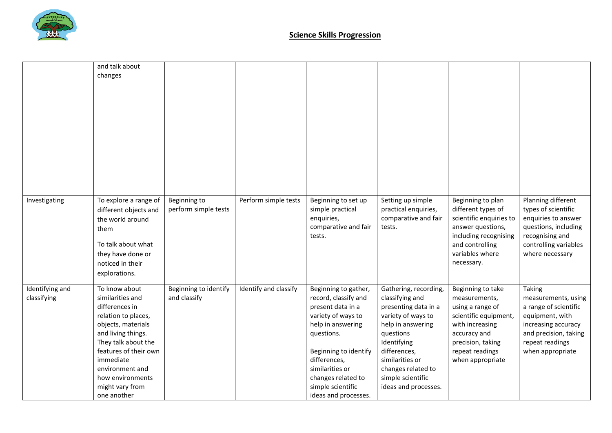

|                                | and talk about<br>changes                                                                                                                                                                                                                                    |                                       |                       |                                                                                                                                                                                                                                                           |                                                                                                                                                                                                                                               |                                                                                                                                                                                |                                                                                                                                                                         |
|--------------------------------|--------------------------------------------------------------------------------------------------------------------------------------------------------------------------------------------------------------------------------------------------------------|---------------------------------------|-----------------------|-----------------------------------------------------------------------------------------------------------------------------------------------------------------------------------------------------------------------------------------------------------|-----------------------------------------------------------------------------------------------------------------------------------------------------------------------------------------------------------------------------------------------|--------------------------------------------------------------------------------------------------------------------------------------------------------------------------------|-------------------------------------------------------------------------------------------------------------------------------------------------------------------------|
| Investigating                  | To explore a range of<br>different objects and<br>the world around<br>them<br>To talk about what<br>they have done or<br>noticed in their<br>explorations.                                                                                                   | Beginning to<br>perform simple tests  | Perform simple tests  | Beginning to set up<br>simple practical<br>enquiries,<br>comparative and fair<br>tests.                                                                                                                                                                   | Setting up simple<br>practical enquiries,<br>comparative and fair<br>tests.                                                                                                                                                                   | Beginning to plan<br>different types of<br>scientific enquiries to<br>answer questions,<br>including recognising<br>and controlling<br>variables where<br>necessary.           | Planning different<br>types of scientific<br>enquiries to answer<br>questions, including<br>recognising and<br>controlling variables<br>where necessary                 |
| Identifying and<br>classifying | To know about<br>similarities and<br>differences in<br>relation to places,<br>objects, materials<br>and living things.<br>They talk about the<br>features of their own<br>immediate<br>environment and<br>how environments<br>might vary from<br>one another | Beginning to identify<br>and classify | Identify and classify | Beginning to gather,<br>record, classify and<br>present data in a<br>variety of ways to<br>help in answering<br>questions.<br>Beginning to identify<br>differences,<br>similarities or<br>changes related to<br>simple scientific<br>ideas and processes. | Gathering, recording,<br>classifying and<br>presenting data in a<br>variety of ways to<br>help in answering<br>questions<br>Identifying<br>differences,<br>similarities or<br>changes related to<br>simple scientific<br>ideas and processes. | Beginning to take<br>measurements,<br>using a range of<br>scientific equipment,<br>with increasing<br>accuracy and<br>precision, taking<br>repeat readings<br>when appropriate | <b>Taking</b><br>measurements, using<br>a range of scientific<br>equipment, with<br>increasing accuracy<br>and precision, taking<br>repeat readings<br>when appropriate |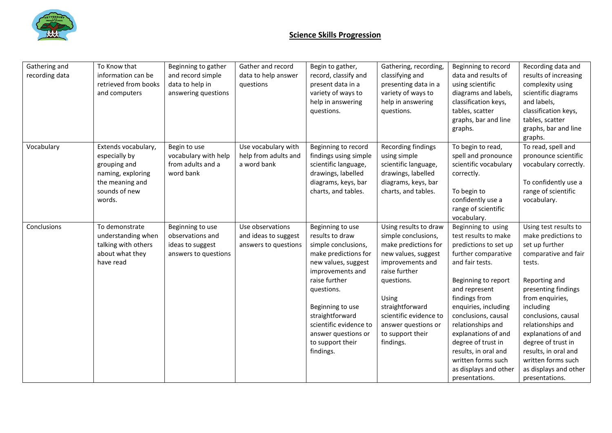

## **Science Skills Progression**

| Gathering and<br>recording data | To Know that<br>information can be<br>retrieved from books<br>and computers                                             | Beginning to gather<br>and record simple<br>data to help in<br>answering questions | Gather and record<br>data to help answer<br>questions            | Begin to gather,<br>record, classify and<br>present data in a<br>variety of ways to<br>help in answering<br>questions.                                                                                                                                                                | Gathering, recording,<br>classifying and<br>presenting data in a<br>variety of ways to<br>help in answering<br>questions.                                                                                                                                    | Beginning to record<br>data and results of<br>using scientific<br>diagrams and labels,<br>classification keys,<br>tables, scatter<br>graphs, bar and line<br>graphs.                                                                                                                                                                                                             | Recording data and<br>results of increasing<br>complexity using<br>scientific diagrams<br>and labels,<br>classification keys,<br>tables, scatter<br>graphs, bar and line<br>graphs.                                                                                                                                                                        |
|---------------------------------|-------------------------------------------------------------------------------------------------------------------------|------------------------------------------------------------------------------------|------------------------------------------------------------------|---------------------------------------------------------------------------------------------------------------------------------------------------------------------------------------------------------------------------------------------------------------------------------------|--------------------------------------------------------------------------------------------------------------------------------------------------------------------------------------------------------------------------------------------------------------|----------------------------------------------------------------------------------------------------------------------------------------------------------------------------------------------------------------------------------------------------------------------------------------------------------------------------------------------------------------------------------|------------------------------------------------------------------------------------------------------------------------------------------------------------------------------------------------------------------------------------------------------------------------------------------------------------------------------------------------------------|
| Vocabulary                      | Extends vocabulary,<br>especially by<br>grouping and<br>naming, exploring<br>the meaning and<br>sounds of new<br>words. | Begin to use<br>vocabulary with help<br>from adults and a<br>word bank             | Use vocabulary with<br>help from adults and<br>a word bank       | Beginning to record<br>findings using simple<br>scientific language,<br>drawings, labelled<br>diagrams, keys, bar<br>charts, and tables.                                                                                                                                              | Recording findings<br>using simple<br>scientific language,<br>drawings, labelled<br>diagrams, keys, bar<br>charts, and tables.                                                                                                                               | To begin to read,<br>spell and pronounce<br>scientific vocabulary<br>correctly.<br>To begin to<br>confidently use a<br>range of scientific<br>vocabulary.                                                                                                                                                                                                                        | To read, spell and<br>pronounce scientific<br>vocabulary correctly.<br>To confidently use a<br>range of scientific<br>vocabulary.                                                                                                                                                                                                                          |
| Conclusions                     | To demonstrate<br>understanding when<br>talking with others<br>about what they<br>have read                             | Beginning to use<br>observations and<br>ideas to suggest<br>answers to questions   | Use observations<br>and ideas to suggest<br>answers to questions | Beginning to use<br>results to draw<br>simple conclusions,<br>make predictions for<br>new values, suggest<br>improvements and<br>raise further<br>questions.<br>Beginning to use<br>straightforward<br>scientific evidence to<br>answer questions or<br>to support their<br>findings. | Using results to draw<br>simple conclusions,<br>make predictions for<br>new values, suggest<br>improvements and<br>raise further<br>questions.<br>Using<br>straightforward<br>scientific evidence to<br>answer questions or<br>to support their<br>findings. | Beginning to using<br>test results to make<br>predictions to set up<br>further comparative<br>and fair tests.<br>Beginning to report<br>and represent<br>findings from<br>enquiries, including<br>conclusions, causal<br>relationships and<br>explanations of and<br>degree of trust in<br>results, in oral and<br>written forms such<br>as displays and other<br>presentations. | Using test results to<br>make predictions to<br>set up further<br>comparative and fair<br>tests.<br>Reporting and<br>presenting findings<br>from enquiries,<br>including<br>conclusions, causal<br>relationships and<br>explanations of and<br>degree of trust in<br>results, in oral and<br>written forms such<br>as displays and other<br>presentations. |